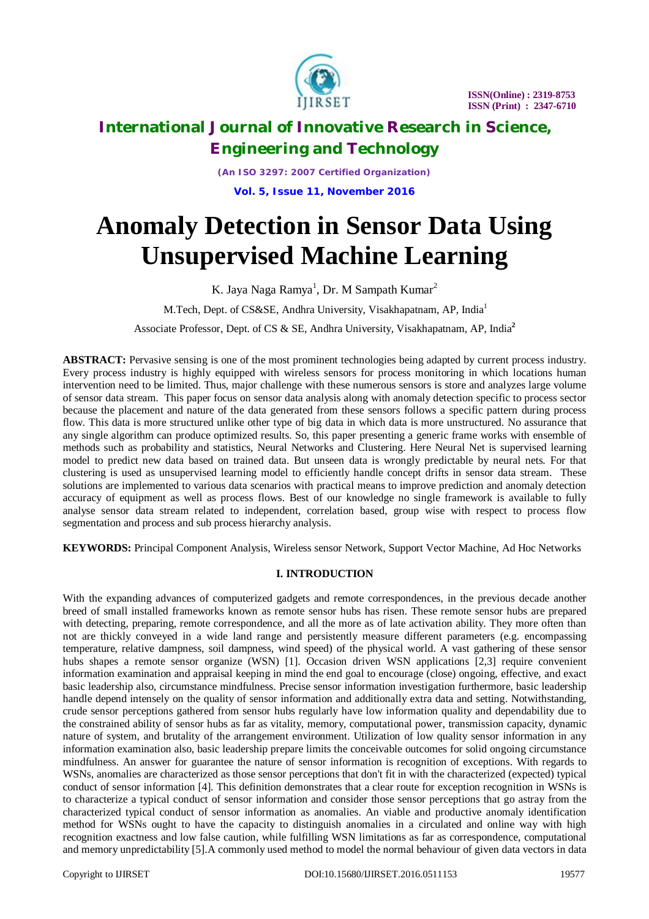

*(An ISO 3297: 2007 Certified Organization)* **Vol. 5, Issue 11, November 2016**

# **Anomaly Detection in Sensor Data Using Unsupervised Machine Learning**

K. Jaya Naga Ramya<sup>1</sup>, Dr. M Sampath Kumar<sup>2</sup>

M.Tech, Dept. of CS&SE, Andhra University, Visakhapatnam, AP, India<sup>1</sup>

Associate Professor, Dept. of CS & SE, Andhra University, Visakhapatnam, AP, India**<sup>2</sup>**

**ABSTRACT:** Pervasive sensing is one of the most prominent technologies being adapted by current process industry. Every process industry is highly equipped with wireless sensors for process monitoring in which locations human intervention need to be limited. Thus, major challenge with these numerous sensors is store and analyzes large volume of sensor data stream. This paper focus on sensor data analysis along with anomaly detection specific to process sector because the placement and nature of the data generated from these sensors follows a specific pattern during process flow. This data is more structured unlike other type of big data in which data is more unstructured. No assurance that any single algorithm can produce optimized results. So, this paper presenting a generic frame works with ensemble of methods such as probability and statistics, Neural Networks and Clustering. Here Neural Net is supervised learning model to predict new data based on trained data. But unseen data is wrongly predictable by neural nets. For that clustering is used as unsupervised learning model to efficiently handle concept drifts in sensor data stream. These solutions are implemented to various data scenarios with practical means to improve prediction and anomaly detection accuracy of equipment as well as process flows. Best of our knowledge no single framework is available to fully analyse sensor data stream related to independent, correlation based, group wise with respect to process flow segmentation and process and sub process hierarchy analysis.

**KEYWORDS:** Principal Component Analysis, Wireless sensor Network, Support Vector Machine, Ad Hoc Networks

### **I. INTRODUCTION**

With the expanding advances of computerized gadgets and remote correspondences, in the previous decade another breed of small installed frameworks known as remote sensor hubs has risen. These remote sensor hubs are prepared with detecting, preparing, remote correspondence, and all the more as of late activation ability. They more often than not are thickly conveyed in a wide land range and persistently measure different parameters (e.g. encompassing temperature, relative dampness, soil dampness, wind speed) of the physical world. A vast gathering of these sensor hubs shapes a remote sensor organize (WSN) [1]. Occasion driven WSN applications [2,3] require convenient information examination and appraisal keeping in mind the end goal to encourage (close) ongoing, effective, and exact basic leadership also, circumstance mindfulness. Precise sensor information investigation furthermore, basic leadership handle depend intensely on the quality of sensor information and additionally extra data and setting. Notwithstanding, crude sensor perceptions gathered from sensor hubs regularly have low information quality and dependability due to the constrained ability of sensor hubs as far as vitality, memory, computational power, transmission capacity, dynamic nature of system, and brutality of the arrangement environment. Utilization of low quality sensor information in any information examination also, basic leadership prepare limits the conceivable outcomes for solid ongoing circumstance mindfulness. An answer for guarantee the nature of sensor information is recognition of exceptions. With regards to WSNs, anomalies are characterized as those sensor perceptions that don't fit in with the characterized (expected) typical conduct of sensor information [4]. This definition demonstrates that a clear route for exception recognition in WSNs is to characterize a typical conduct of sensor information and consider those sensor perceptions that go astray from the characterized typical conduct of sensor information as anomalies. An viable and productive anomaly identification method for WSNs ought to have the capacity to distinguish anomalies in a circulated and online way with high recognition exactness and low false caution, while fulfilling WSN limitations as far as correspondence, computational and memory unpredictability [5].A commonly used method to model the normal behaviour of given data vectors in data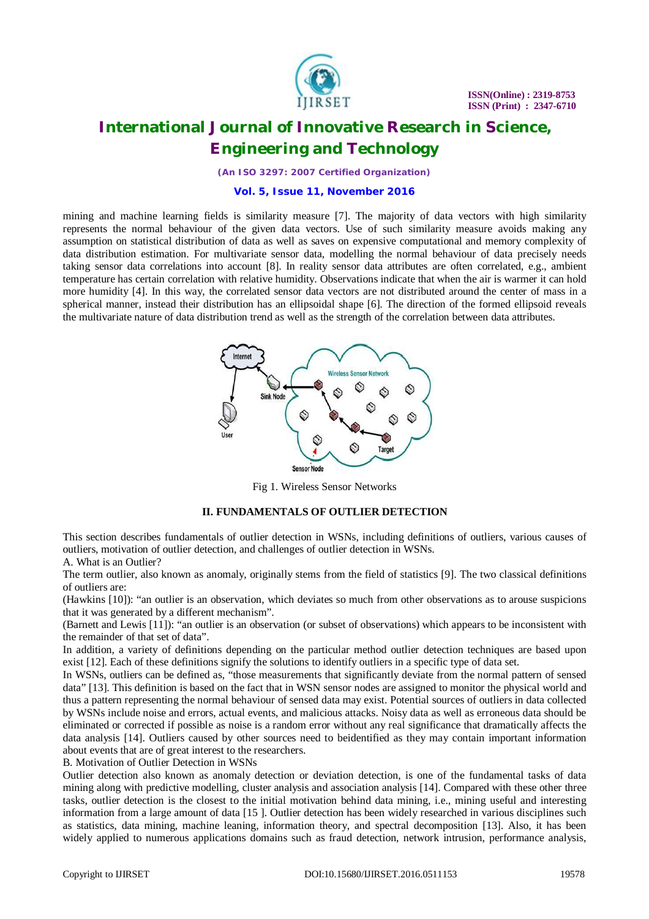

*(An ISO 3297: 2007 Certified Organization)*

#### **Vol. 5, Issue 11, November 2016**

mining and machine learning fields is similarity measure [7]. The majority of data vectors with high similarity represents the normal behaviour of the given data vectors. Use of such similarity measure avoids making any assumption on statistical distribution of data as well as saves on expensive computational and memory complexity of data distribution estimation. For multivariate sensor data, modelling the normal behaviour of data precisely needs taking sensor data correlations into account [8]. In reality sensor data attributes are often correlated, e.g., ambient temperature has certain correlation with relative humidity. Observations indicate that when the air is warmer it can hold more humidity [4]. In this way, the correlated sensor data vectors are not distributed around the center of mass in a spherical manner, instead their distribution has an ellipsoidal shape [6]. The direction of the formed ellipsoid reveals the multivariate nature of data distribution trend as well as the strength of the correlation between data attributes.



Fig 1. Wireless Sensor Networks

### **II. FUNDAMENTALS OF OUTLIER DETECTION**

This section describes fundamentals of outlier detection in WSNs, including definitions of outliers, various causes of outliers, motivation of outlier detection, and challenges of outlier detection in WSNs.

A. What is an Outlier?

The term outlier, also known as anomaly, originally stems from the field of statistics [9]. The two classical definitions of outliers are:

(Hawkins [10]): "an outlier is an observation, which deviates so much from other observations as to arouse suspicions that it was generated by a different mechanism".

(Barnett and Lewis [11]): "an outlier is an observation (or subset of observations) which appears to be inconsistent with the remainder of that set of data".

In addition, a variety of definitions depending on the particular method outlier detection techniques are based upon exist [12]. Each of these definitions signify the solutions to identify outliers in a specific type of data set.

In WSNs, outliers can be defined as, "those measurements that significantly deviate from the normal pattern of sensed data" [13]. This definition is based on the fact that in WSN sensor nodes are assigned to monitor the physical world and thus a pattern representing the normal behaviour of sensed data may exist. Potential sources of outliers in data collected by WSNs include noise and errors, actual events, and malicious attacks. Noisy data as well as erroneous data should be eliminated or corrected if possible as noise is a random error without any real significance that dramatically affects the data analysis [14]. Outliers caused by other sources need to beidentified as they may contain important information about events that are of great interest to the researchers.

B. Motivation of Outlier Detection in WSNs

Outlier detection also known as anomaly detection or deviation detection, is one of the fundamental tasks of data mining along with predictive modelling, cluster analysis and association analysis [14]. Compared with these other three tasks, outlier detection is the closest to the initial motivation behind data mining, i.e., mining useful and interesting information from a large amount of data [15 ]. Outlier detection has been widely researched in various disciplines such as statistics, data mining, machine leaning, information theory, and spectral decomposition [13]. Also, it has been widely applied to numerous applications domains such as fraud detection, network intrusion, performance analysis,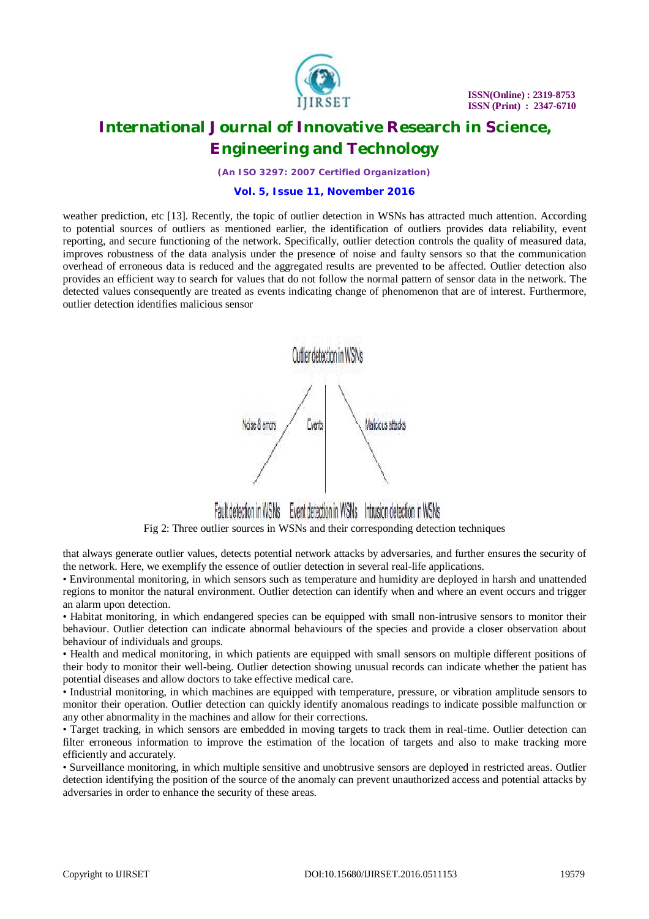

*(An ISO 3297: 2007 Certified Organization)*

#### **Vol. 5, Issue 11, November 2016**

weather prediction, etc [13]. Recently, the topic of outlier detection in WSNs has attracted much attention. According to potential sources of outliers as mentioned earlier, the identification of outliers provides data reliability, event reporting, and secure functioning of the network. Specifically, outlier detection controls the quality of measured data, improves robustness of the data analysis under the presence of noise and faulty sensors so that the communication overhead of erroneous data is reduced and the aggregated results are prevented to be affected. Outlier detection also provides an efficient way to search for values that do not follow the normal pattern of sensor data in the network. The detected values consequently are treated as events indicating change of phenomenon that are of interest. Furthermore, outlier detection identifies malicious sensor



Fault detection in WSNs Event detection in WSNs Intrusion detection in WSNs Fig 2: Three outlier sources in WSNs and their corresponding detection techniques

that always generate outlier values, detects potential network attacks by adversaries, and further ensures the security of the network. Here, we exemplify the essence of outlier detection in several real-life applications.

• Environmental monitoring, in which sensors such as temperature and humidity are deployed in harsh and unattended regions to monitor the natural environment. Outlier detection can identify when and where an event occurs and trigger an alarm upon detection.

• Habitat monitoring, in which endangered species can be equipped with small non-intrusive sensors to monitor their behaviour. Outlier detection can indicate abnormal behaviours of the species and provide a closer observation about behaviour of individuals and groups.

• Health and medical monitoring, in which patients are equipped with small sensors on multiple different positions of their body to monitor their well-being. Outlier detection showing unusual records can indicate whether the patient has potential diseases and allow doctors to take effective medical care.

• Industrial monitoring, in which machines are equipped with temperature, pressure, or vibration amplitude sensors to monitor their operation. Outlier detection can quickly identify anomalous readings to indicate possible malfunction or any other abnormality in the machines and allow for their corrections.

• Target tracking, in which sensors are embedded in moving targets to track them in real-time. Outlier detection can filter erroneous information to improve the estimation of the location of targets and also to make tracking more efficiently and accurately.

• Surveillance monitoring, in which multiple sensitive and unobtrusive sensors are deployed in restricted areas. Outlier detection identifying the position of the source of the anomaly can prevent unauthorized access and potential attacks by adversaries in order to enhance the security of these areas.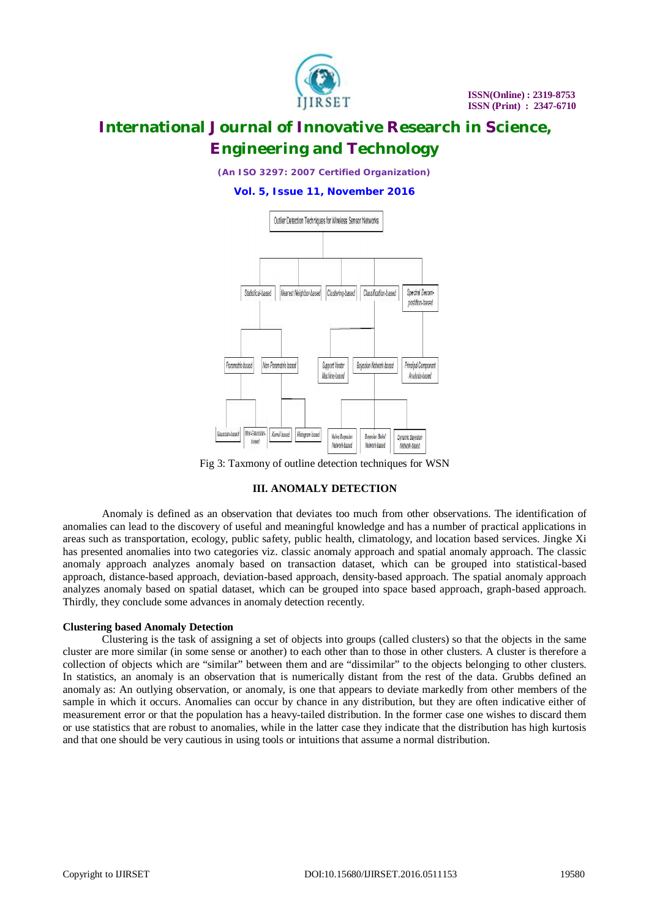

*(An ISO 3297: 2007 Certified Organization)*

**Vol. 5, Issue 11, November 2016**



Fig 3: Taxmony of outline detection techniques for WSN

### **III. ANOMALY DETECTION**

Anomaly is defined as an observation that deviates too much from other observations. The identification of anomalies can lead to the discovery of useful and meaningful knowledge and has a number of practical applications in areas such as transportation, ecology, public safety, public health, climatology, and location based services. Jingke Xi has presented anomalies into two categories viz. classic anomaly approach and spatial anomaly approach. The classic anomaly approach analyzes anomaly based on transaction dataset, which can be grouped into statistical-based approach, distance-based approach, deviation-based approach, density-based approach. The spatial anomaly approach analyzes anomaly based on spatial dataset, which can be grouped into space based approach, graph-based approach. Thirdly, they conclude some advances in anomaly detection recently.

### **Clustering based Anomaly Detection**

Clustering is the task of assigning a set of objects into groups (called clusters) so that the objects in the same cluster are more similar (in some sense or another) to each other than to those in other clusters. A cluster is therefore a collection of objects which are "similar" between them and are "dissimilar" to the objects belonging to other clusters. In statistics, an anomaly is an observation that is numerically distant from the rest of the data. Grubbs defined an anomaly as: An outlying observation, or anomaly, is one that appears to deviate markedly from other members of the sample in which it occurs. Anomalies can occur by chance in any distribution, but they are often indicative either of measurement error or that the population has a heavy-tailed distribution. In the former case one wishes to discard them or use statistics that are robust to anomalies, while in the latter case they indicate that the distribution has high kurtosis and that one should be very cautious in using tools or intuitions that assume a normal distribution.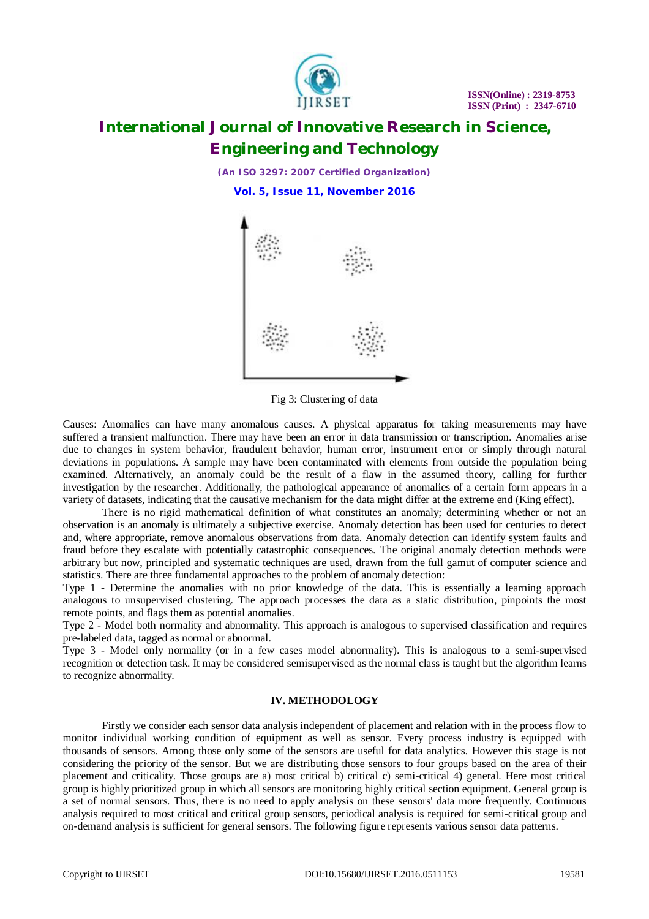

*(An ISO 3297: 2007 Certified Organization)* **Vol. 5, Issue 11, November 2016**



Fig 3: Clustering of data

Causes: Anomalies can have many anomalous causes. A physical apparatus for taking measurements may have suffered a transient malfunction. There may have been an error in data transmission or transcription. Anomalies arise due to changes in system behavior, fraudulent behavior, human error, instrument error or simply through natural deviations in populations. A sample may have been contaminated with elements from outside the population being examined. Alternatively, an anomaly could be the result of a flaw in the assumed theory, calling for further investigation by the researcher. Additionally, the pathological appearance of anomalies of a certain form appears in a variety of datasets, indicating that the causative mechanism for the data might differ at the extreme end (King effect).

There is no rigid mathematical definition of what constitutes an anomaly; determining whether or not an observation is an anomaly is ultimately a subjective exercise. Anomaly detection has been used for centuries to detect and, where appropriate, remove anomalous observations from data. Anomaly detection can identify system faults and fraud before they escalate with potentially catastrophic consequences. The original anomaly detection methods were arbitrary but now, principled and systematic techniques are used, drawn from the full gamut of computer science and statistics. There are three fundamental approaches to the problem of anomaly detection:

Type 1 - Determine the anomalies with no prior knowledge of the data. This is essentially a learning approach analogous to unsupervised clustering. The approach processes the data as a static distribution, pinpoints the most remote points, and flags them as potential anomalies.

Type 2 - Model both normality and abnormality. This approach is analogous to supervised classification and requires pre-labeled data, tagged as normal or abnormal.

Type 3 - Model only normality (or in a few cases model abnormality). This is analogous to a semi-supervised recognition or detection task. It may be considered semisupervised as the normal class is taught but the algorithm learns to recognize abnormality.

#### **IV. METHODOLOGY**

Firstly we consider each sensor data analysis independent of placement and relation with in the process flow to monitor individual working condition of equipment as well as sensor. Every process industry is equipped with thousands of sensors. Among those only some of the sensors are useful for data analytics. However this stage is not considering the priority of the sensor. But we are distributing those sensors to four groups based on the area of their placement and criticality. Those groups are a) most critical b) critical c) semi-critical 4) general. Here most critical group is highly prioritized group in which all sensors are monitoring highly critical section equipment. General group is a set of normal sensors. Thus, there is no need to apply analysis on these sensors' data more frequently. Continuous analysis required to most critical and critical group sensors, periodical analysis is required for semi-critical group and on-demand analysis is sufficient for general sensors. The following figure represents various sensor data patterns.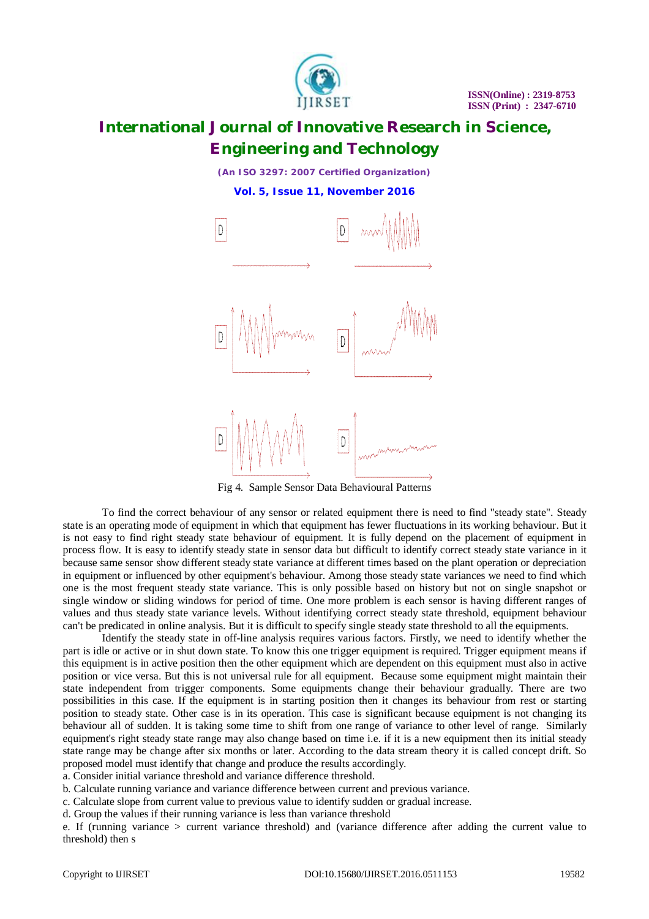

*(An ISO 3297: 2007 Certified Organization)* **Vol. 5, Issue 11, November 2016**



Fig 4. Sample Sensor Data Behavioural Patterns

To find the correct behaviour of any sensor or related equipment there is need to find "steady state". Steady state is an operating mode of equipment in which that equipment has fewer fluctuations in its working behaviour. But it is not easy to find right steady state behaviour of equipment. It is fully depend on the placement of equipment in process flow. It is easy to identify steady state in sensor data but difficult to identify correct steady state variance in it because same sensor show different steady state variance at different times based on the plant operation or depreciation in equipment or influenced by other equipment's behaviour. Among those steady state variances we need to find which one is the most frequent steady state variance. This is only possible based on history but not on single snapshot or single window or sliding windows for period of time. One more problem is each sensor is having different ranges of values and thus steady state variance levels. Without identifying correct steady state threshold, equipment behaviour can't be predicated in online analysis. But it is difficult to specify single steady state threshold to all the equipments.

Identify the steady state in off-line analysis requires various factors. Firstly, we need to identify whether the part is idle or active or in shut down state. To know this one trigger equipment is required. Trigger equipment means if this equipment is in active position then the other equipment which are dependent on this equipment must also in active position or vice versa. But this is not universal rule for all equipment. Because some equipment might maintain their state independent from trigger components. Some equipments change their behaviour gradually. There are two possibilities in this case. If the equipment is in starting position then it changes its behaviour from rest or starting position to steady state. Other case is in its operation. This case is significant because equipment is not changing its behaviour all of sudden. It is taking some time to shift from one range of variance to other level of range. Similarly equipment's right steady state range may also change based on time i.e. if it is a new equipment then its initial steady state range may be change after six months or later. According to the data stream theory it is called concept drift. So proposed model must identify that change and produce the results accordingly.

a. Consider initial variance threshold and variance difference threshold.

b. Calculate running variance and variance difference between current and previous variance.

c. Calculate slope from current value to previous value to identify sudden or gradual increase.

d. Group the values if their running variance is less than variance threshold

e. If (running variance > current variance threshold) and (variance difference after adding the current value to threshold) then s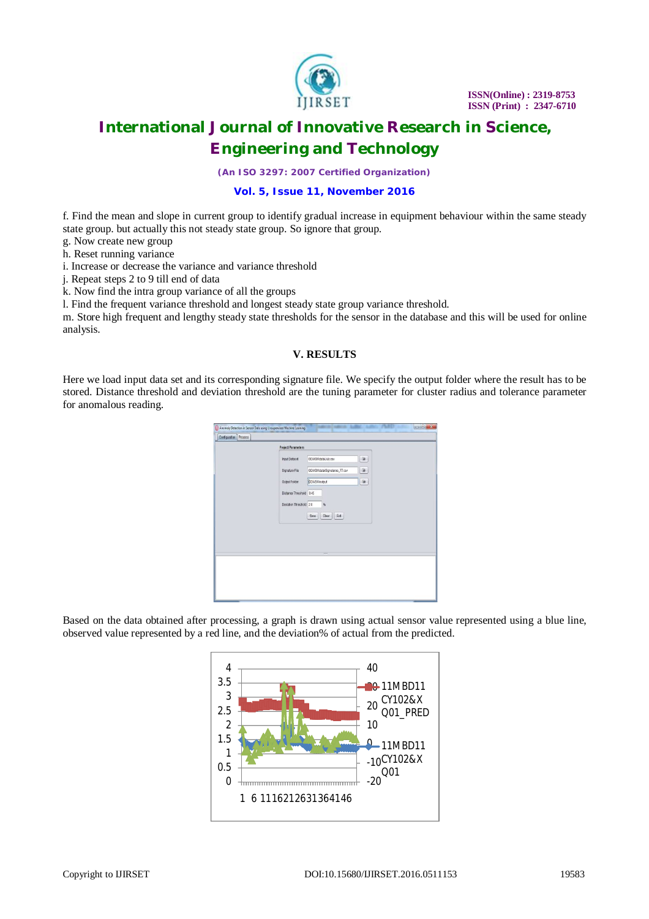

*(An ISO 3297: 2007 Certified Organization)*

### **Vol. 5, Issue 11, November 2016**

f. Find the mean and slope in current group to identify gradual increase in equipment behaviour within the same steady state group. but actually this not steady state group. So ignore that group.

- g. Now create new group
- h. Reset running variance
- i. Increase or decrease the variance and variance threshold

j. Repeat steps 2 to 9 till end of data

k. Now find the intra group variance of all the groups

l. Find the frequent variance threshold and longest steady state group variance threshold.

m. Store high frequent and lengthy steady state thresholds for the sensor in the database and this will be used for online analysis.

#### **V. RESULTS**

Here we load input data set and its corresponding signature file. We specify the output folder where the result has to be stored. Distance threshold and deviation threshold are the tuning parameter for cluster radius and tolerance parameter for anomalous reading.

|                         | <b>Project Parameters</b>    |                                                                                                                                                                                                                                                                                                                                                                                                                                                                                            |  |  |
|-------------------------|------------------------------|--------------------------------------------------------------------------------------------------------------------------------------------------------------------------------------------------------------------------------------------------------------------------------------------------------------------------------------------------------------------------------------------------------------------------------------------------------------------------------------------|--|--|
| Input Dataset           | ODWSMdataUuly.csv            | $\begin{tabular}{ c c } \hline \hline \multicolumn{3}{ c }{\quad \quad} & \multicolumn{3}{ c }{\quad \quad} \\ \hline \multicolumn{3}{ c }{\quad \quad} & \multicolumn{3}{ c }{\quad \quad} \\ \hline \multicolumn{3}{ c }{\quad \quad} & \multicolumn{3}{ c }{\quad \quad} \\ \hline \multicolumn{3}{ c }{\quad \quad} & \multicolumn{3}{ c }{\quad \quad} \\ \hline \multicolumn{3}{ c }{\quad \quad} & \multicolumn{3}{ c }{\quad \quad} \\ \hline \multicolumn{3}{ c }{\quad \quad} &$ |  |  |
| Signature File          | ODWSNidatalSignatures_77.csv | ŵ.                                                                                                                                                                                                                                                                                                                                                                                                                                                                                         |  |  |
| Output Folder           | <b>bowsNeutput</b>           | $\omega$                                                                                                                                                                                                                                                                                                                                                                                                                                                                                   |  |  |
| Distance Threshold 0.45 |                              |                                                                                                                                                                                                                                                                                                                                                                                                                                                                                            |  |  |
| Deviation Threshold 2.0 | $\frac{1}{2}$                |                                                                                                                                                                                                                                                                                                                                                                                                                                                                                            |  |  |
|                         | Save<br>Clear Ext            |                                                                                                                                                                                                                                                                                                                                                                                                                                                                                            |  |  |
|                         |                              |                                                                                                                                                                                                                                                                                                                                                                                                                                                                                            |  |  |
|                         |                              |                                                                                                                                                                                                                                                                                                                                                                                                                                                                                            |  |  |
|                         |                              |                                                                                                                                                                                                                                                                                                                                                                                                                                                                                            |  |  |
|                         | $rac{1}{2}$                  |                                                                                                                                                                                                                                                                                                                                                                                                                                                                                            |  |  |
|                         |                              |                                                                                                                                                                                                                                                                                                                                                                                                                                                                                            |  |  |
|                         |                              |                                                                                                                                                                                                                                                                                                                                                                                                                                                                                            |  |  |

Based on the data obtained after processing, a graph is drawn using actual sensor value represented using a blue line, observed value represented by a red line, and the deviation% of actual from the predicted.